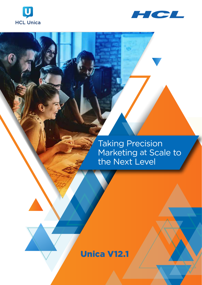



Taking Precision Marketing at Scale to the Next Level

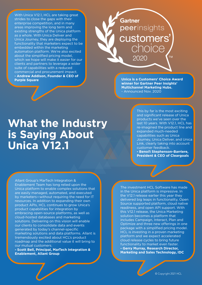With Unica V12.1, HCL are taking great strides to close the gaps with their enterprise competition, and in many areas improving the long term and existing strengths of the Unica platform as a whole. With Unica Deliver and Unica Journey, they are deploying the functionality that marketers expect to be embedded within the marketing automation platform. We're also excited about the simplified pricing model, which we hope will make it easier for our clients and partners to leverage a wider suite of capabilities with a reduced commercial and procurement impact. **- Andrew Addison, Founder & CEO of Purple Square Unica is a Customers' Choice Award** 

# **Gartner** peerinsights customers' choice 2020 **TM**

**winner for Gartner Peer Insights' Multichannel Marketing Hubs.** - Announced Nov. 2020

# **What the Industry is Saying About Unica V12.1**

This by far is the most exciting and significant release of Unica products we've seen over the last 10 years. With V12.1, HCL has re-imagined the product line and expanded much-needed capabilities such as Unica Journey, Unica Deliver, and Unica Link, clearly taking into account customer feedback. **- Benoît Stephenson-Barriere, President & CEO of Cleargoals**

Allant Group's MarTech Integration & Enablement Team has long relied upon the Unica platform to enable complex solutions that are easily managed, automated, and executed by marketers—without requiring the need for IT resources. In addition to expanding their own product APIs, HCL continues to grow Unica's product capabilities for integration by embracing open-source platforms, as well as cloud-hosted databases and marketing solutions. Delivering on this vision will enable our clients to consolidate data and events generated by today's channel-specific marketing solutions and data platforms. Allant is tremendously excited about HCL's product roadmap and the additional value it will bring to our mutual customers.

**- Scott Bell, Principal, MarTech Integration & Enablement, Allant Group**

The investment HCL Software has made in the Unica platform is impressive. In the V12.1 release earlier this year they delivered big leaps in functionality, Open Source supported platform, cloud native readiness, and open API support. With this V12.1 release, the Unica Marketing solution becomes a platform that includes Campaign, Interact, Plan and Optimize and three new offerings in one package with a simplified pricing model. HCL is investing in a proven marketing platform and we expect accelerated cloud release cycles to bring future functionality to market even faster. **- Gerry Murray, Research Director, Marketing and Sales Technology, IDC**

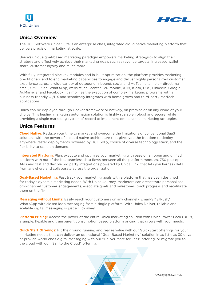



#### **Unica Overview**

The HCL Software Unica Suite is an enterprise class, integrated cloud native marketing platform that delivers precision marketing at scale.

Unica's unique goal-based marketing paradigm empowers marketing strategists to align their strategy and effectively achieve their marketing goals such as revenue targets, increased wallet share, customer loyalty and much more.

With fully integrated nine key modules and in-built optimization, the platform provides marketing practitioners end to end marketing capabilities to engage and deliver highly personalized customer experience across a wide variety of outbound, inbound, social and AdTech channels – direct mail, email, SMS, Push, WhatsApp, website, call center, IVR mobile, ATM, Kiosk, POS, LinkedIn, Google AdManager and Facebook. It simplifies the execution of complex marketing programs with a business-friendly UI/UX and seamlessly integrates with home grown and third-party MarTech applications.

Unica can be deployed through Docker framework or natively, on premise or on any cloud of your choice. This leading marketing automation solution is highly scalable, robust and secure, while providing a single marketing system of record to implement omnichannel marketing strategies.

#### **Unica Features**

**Cloud Native:** Reduce your time to market and overcome the limitations of conventional SaaS solutions with the power of a cloud native architecture that gives you the freedom to deploy anywhere, faster deployments powered by HCL SoFy, choice of diverse technology stack, and the flexibility to scale on demand.

**Integrated Platform:** Plan, execute and optimize your marketing with ease on an open and unified platform with out of the box seamless data flows between all the platform modules, 750 plus open APIs and fast and flexible 3rd party integrations powered by Unica Link, that lets you harness data from anywhere and collaborate across the organization.

**Goal-Based Marketing:** Fast track your marketing goals with a platform that has been designed for today's dynamic marketing needs. With Unica Journey, marketers can orchestrate personalized omnichannel customer engagements, associate goals and milestones, track progress and recalibrate them on the fly.

**Messaging without Limits:** Easily reach your customers on any channel - Email/SMS/Push/ WhatsApp with closed loop messaging from a single platform. With Unica Deliver, reliable and scalable digital messaging is just a click away.

**Platform Pricing:** Access the power of the entire Unica marketing solution with Unica Power Pack (UPP), a simple, flexible and transparent consumption based platform pricing that grows with your needs.

**Quick Start Offerings:** Hit the ground running and realize value with our QuickStart offerings for your marketing needs, that can deliver an operational "Goal-Based Marketing" solution in as little as 30 days or provide world class digital messaging with our "Deliver More for Less" offering, or migrate you to the cloud with our "Sail to the Cloud" offering.

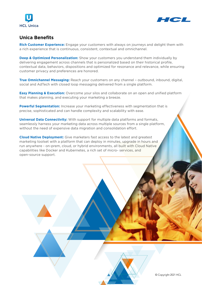



#### **Unica Benefits**

**Rich Customer Experience:** Engage your customers with always on journeys and delight them with a rich experience that is continuous, consistent, contextual and omnichannel.

**Deep & Optimized Personalization:** Show your customers you understand them individually by delivering engagement across channels that is personalized based on their historical profile, contextual data, behaviors, dispositions and optimized for resonance and relevance, while ensuring customer privacy and preferences are honored.

**True Omnichannel Messaging:** Reach your customers on any channel – outbound, inbound, digital, social and AdTech with closed loop messaging delivered from a single platform.

**Easy Planning & Execution:** Overcome your silos and collaborate on an open and unified platform that makes planning, and executing your marketing a breeze.

**Powerful Segmentation:** Increase your marketing effectiveness with segmentation that is precise, sophisticated and can handle complexity and scalability with ease.

**Universal Data Connectivity:** With support for multiple data platforms and formats, seamlessly harness your marketing data across multiple sources from a single platform, without the need of expensive data migration and consolidation effort.

**Cloud Native Deployment:** Give marketers fast access to the latest and greatest marketing toolset with a platform that can deploy in minutes, upgrade in hours and run anywhere - on-prem, cloud, or hybrid environments, all built with Cloud Native capabilities like Docker and Kubernetes, a rich set of micro- services, and open-source support.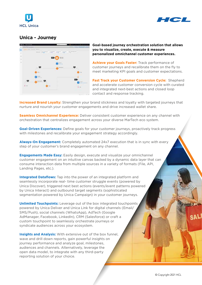



#### **Unica - Journey**



**Goal-based journey orchestration solution that allows you to visualize, create, execute & measure personalized omnichannel customer experiences.**

**Achieve your Goals Faster:** Track performance of customer journeys and recalibrate them on the fly to meet marketing KPI goals and customer expectations.

**Fast Track your Customer Conversion Cycle: Shepherd** and accelerate customer conversion cycle with curated and integrated next-best actions and closed loop contact and response tracking.

**Increased Brand Loyalty:** Strengthen your brand stickiness and loyalty with targeted journeys that nurture and nourish your customer engagements and drive increased wallet share.

**Seamless Omnichannel Experience:** Deliver consistent customer experience on any channel with orchestration that centralizes engagement across your diverse MarTech eco system.

**Goal-Driven Experiences:** Define goals for your customer journeys, proactively track progress with milestones and recalibrate your engagement strategy accordingly.

**Always-On Engagement:** Completely automated 24x7 execution that is in sync with every step of your customer's brand engagement on any channel.

**Engagements Made Easy:** Easily design, execute and visualize your omnichannel customer engagement on an intuitive canvas backed by a dynamic data layer that can consume interaction data from multiple sources in a variety of formats (File, API, Landing Pages, etc.).

**Integrated Dataflows:** Tap into the power of an integrated platform and seamlessly incorporate real- time customer struggle events (powered by Unica Discover), triggered next best actions (events/event patterns powered by Unica Interact) and outbound target segments (sophisticated segmentation powered by Unica Campaign) in your customer journeys.

**Unlimited Touchpoints:** Leverage out of the box integrated touchpoints powered by Unica Deliver and Unica Link for digital channels (Email/ SMS/Push), social channels (WhatsApp), AdTech (Google AdManager, Facebook, LinkedIn), CRM (Salesforce) or craft a custom touchpoint to seamlessly orchestrate journeys or syndicate audiences across your ecosystem.

**Insights and Analysis:** With extensive out of the box funnel. wave and drill down reports, gain powerful insights on journey performance and analyze goal, milestones, audiences and channels. Alternatively, leverage the open data model, to integrate with any third-party reporting solution of your choice.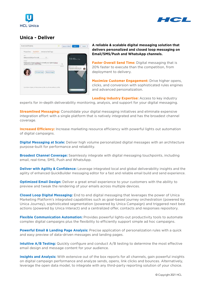



### **Unica - Deliver**



**A reliable & scalable digital messaging solution that delivers personalized and closed loop messaging on Email/SMS/Push and WhatsApp channels.**

**Faster Overall Send Time:** Digital messaging that is 20% faster to execute than the competition, from deployment to delivery.

**Maximize Customer Engagement:** Drive higher opens, clicks, and conversion with sophisticated rules engines and advanced personalization.

**Leading Industry Expertise:** Access to key industry

experts for in-depth deliverability monitoring, analysis, and support for your digital messaging.

**Streamlined Messaging:** Consolidate your digital messaging initiatives and eliminate expensive integration effort with a single platform that is natively integrated and has the broadest channel coverage.

**Increased Efficiency:** Increase marketing resource efficiency with powerful lights out automation of digital campaigns.

**Digital Messaging at Scale:** Deliver high volume personalized digital messages with an architecture purpose-built for performance and reliability.

**Broadest Channel Coverage:** Seamlessly integrate with digital messaging touchpoints, including email, real-time, SMS, Push and WhatsApp.

**Deliver with Agility & Confidence:** Leverage integrated local and global deliverability insights and the agility of enhanced QuickBuilder messaging editor for a fast and reliable email build and send experience.

**Optimized Email Design:** Deliver a great email experience to your customers with the ability to preview and tweak the rendering of your emails across multiple devices.

**Closed Loop Digital Messaging:** End to end digital messaging that leverages the power of Unica Marketing Platform's integrated capabilities such as goal-based journey orchestration (powered by Unica Journey), sophisticated segmentation (powered by Unica Campaign) and triggered next best actions (powered by Unica Interact) and a centralized offer, contacts and responses repository.

**Flexible Communication Automation:** Provides powerful lights-out productivity tools to automate complex digital campaigns plus the flexibility to efficiently support simple ad hoc campaigns.

**Powerful Email & Landing Page Analysis:** Precise application of personalization rules with a quick and easy preview of data-driven messages and landing pages.

**Intuitive A/B Testing:** Quickly configure and conduct A/B testing to determine the most effective email design and message content for your audience.

**Insights and Analysis:** With extensive out of the box reports for all channels, gain powerful insights on digital campaign performance and analyze sends, opens, link clicks and bounces. Alternatively, leverage the open data model, to integrate with any third-party reporting solution of your choice.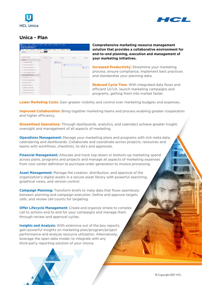



#### **Unica - Plan**



**Comprehensive marketing resource management solution that provides a collaborative environment for end-to-end planning, execution and management of your marketing initiatives.**

**Increased Productivity:** Streamline your marketing process, ensure compliance, implement best practices and standardize your planning data.

**Reduced Cycle Time:** With integrated data flows and efficient UI/UX, launch marketing campaigns and programs, getting them into market faster.

**Lower Marketing Costs:** Gain greater visibility and control over marketing budgets and expenses.

**Improved Collaboration:** Bring together marketing teams and process enabling greater cooperation and higher efficiency.

**Streamlined Operations:** Through dashboards, analytics, and calendars achieve greater insight, oversight and management of all aspects of marketing.

**Operations Management:** Manage your marketing plans and programs with rich meta data, calendaring and dashboards. Collaborate and coordinate across projects, resources and teams with workflows, checklists, to-do's and approvals.

**Financial Management:** Allocate and track top-down or bottom-up marketing spend across plans, programs and projects and manage all aspects of marketing expenses from cost center definition to purchase order generation to invoice processing.

**Asset Management:** Manage the creation, distribution, and approval of the organization's digital assets in a secure asset library with powerful searching, graphical views, and version control.

**Campaign Planning:** Transform briefs to meta data that flows seamlessly between planning and campaign execution. Define and approve targets cells, and review cell counts for targeting.

**Offer Lifecycle Management:** Create and organize simple to complex call to actions end to end for your campaigns and manage them through review and approval cycles.

**Insights and Analysis:** With extensive out of the box reports, gain powerful insights on marketing plan/program/project performance and analyze resource utilization. Alternatively, leverage the open data model, to integrate with any third-party reporting solution of your choice.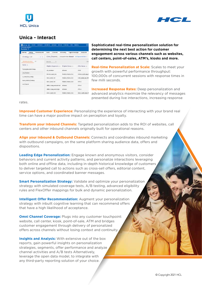



#### **Unica - Interact**

| Exercisey Glennings                                         |            | Woraches power |                            |                              | EVersi Constructs Sciencesco Tiggonol messages Decleyment |                                                      |         |                                                          |  |
|-------------------------------------------------------------|------------|----------------|----------------------------|------------------------------|-----------------------------------------------------------|------------------------------------------------------|---------|----------------------------------------------------------|--|
| Strategy List                                               |            | 26.9.          |                            |                              | Live_Channe_   boswerting Delight   octasional box -      |                                                      |         |                                                          |  |
|                                                             | EXWERT  AL |                |                            | SHOW                         |                                                           |                                                      |         | $-0.4$                                                   |  |
| Name 1                                                      |            |                |                            | Elipible Segments -:         |                                                           | <b>Bigible Zones</b> :                               |         | Offer Name : :                                           |  |
| Transpositioned integr                                      |            |                | All individuals            |                              | All heats.                                                |                                                      |         | seas                                                     |  |
| Live Chances                                                |            |                |                            | <b>Bronto, Equality, Two</b> |                                                           | An Edward Physician Control<br>Pindurk stiesent Zone |         | <b>Service Service</b><br><b>Instant,Layerty, App. 6</b> |  |
| 12. Meracline, Mindega<br>in a control of a new control and |            |                |                            | Oold_Layerty_Tier            |                                                           | Paska's, Interest, Zone                              |         | <b>SIMUARIN ANCOR</b>                                    |  |
| Andre Website Stratery.                                     |            |                |                            | God Linking Tel:             |                                                           | Phodurt Interest Zone                                |         | DWW-A                                                    |  |
| Live Chainet                                                |            |                | Offers, Young, And Mismed. |                              | AB nomes.                                                 |                                                      |         | <b>USE N</b>                                             |  |
|                                                             |            |                |                            | Office Vised And Neide.      | All meets                                                 |                                                      | offer A |                                                          |  |
|                                                             |            |                |                            | tellent Librarily, Tell      |                                                           | Product, Interest Zone                               |         | Lifett.) ayalty.rgb.475                                  |  |

**Sophisticated real-time personalization solution for determining the next best action for customer engagement across various channels such as websites, call centers, point-of-sales, ATM's, kiosks and more.** 

**Real-time Personalization at Scale:** Scales to meet your growth with powerful performance throughput: 100,000s of concurrent sessions with response times in few milli seconds.

**Increased Response Rates:** Deep personalization and advanced analytics maximize the relevancy of messages presented during live interactions, increasing response

rates.

**Improved Customer Experience:** Personalizing the experience of interacting with your brand real time can have a major positive impact on perception and loyalty.

**Transform your Inbound Channels:** Targeted personalization adds to the ROI of websites, call centers and other inbound channels originally built for operational reasons.

**Align your Inbound & Outbound Channels:** Connects and coordinates inbound marketing with outbound campaigns, on the same platform sharing audience data, offers and dispositions.

**Leading Edge Personalization:** Engage known and anonymous visitors, consider behaviors and current activity patterns, and personalize interactions leveraging both online and offline data, including in-depth historical knowledge of customers to deliver targeted call to actions such as cross-sell offers, editorial content, service options, and coordinated banner messages.

**Smart Personalization Strategy:** Validate and optimize your personalization strategy with simulated coverage tests, A/B testing, advanced eligibility rules and FlexOffer mappings for bulk and dynamic personalization.

**Intelligent Offer Recommendation:** Augment your personalization strategy with inbuilt cognitive learning that can recommend offers that have a high likelihood of acceptance.

**Omni Channel Coverage:** Plugs into any customer touchpoint: website, call center, kiosk, point-of-sale, ATM and bridges customer engagement through delivery of personalized offers across channels without losing context and continuity.

**Insights and Analysis:** With extensive out of the box reports, gain powerful insights on personalization strategies, segments, offer performance and analyze channel activities and A/B tests Alternatively, leverage the open data model, to integrate with any third-party reporting solution of your choice.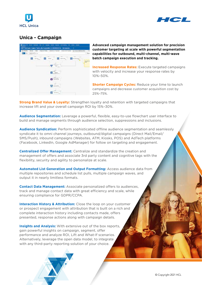



#### **Unica - Campaign**



**Advanced campaign management solution for precision customer targeting at scale with powerful segmentation capabilities for outbound, multi-channel, multi-wave batch campaign execution and tracking.**

**Increased Response Rates:** Execute targeted campaigns with velocity and increase your response rates by 10%–50%.

**Shorter Campaign Cycles: Reduce your time to launch** campaigns and decrease customer acquisition cost by 25%–75%.

**Strong Brand Value & Loyalty:** Strengthen loyalty and retention with targeted campaigns that increase lift and your overall campaign ROI by 15%–30%.

**Audience Segmentation:** Leverage a powerful, flexible, easy-to-use flowchart user interface to build and manage segments through audience selection, suppressions and inclusions.

**Audience Syndication:** Perform sophisticated offline audience segmentation and seamlessly syndicate it to omni channel journeys, outbound/digital campaigns (Direct Mail/Email/ SMS/Push), inbound campaigns (Websites, ATM, Kiosks, POS) and AdTech platforms (Facebook, LinkedIn, Google AdManager) for follow on targeting and engagement.

**Centralized Offer Management:** Centralize and standardize the creation and management of offers and associate 3rd party content and cognitive tags with the flexibility, security and agility to personalize at scale.

**Automated List Generation and Output Formatting:** Access audience data from multiple repositories and schedule list pulls, multiple campaign waves, and output it in nearly limitless formats.

**Contact Data Management:** Associate personalized offers to audiences, track and manage contact data with great efficiency and scale, while ensuring compliance for GDPR/CCPA.

**Interaction History & Attribution:** Close the loop on your customer or prospect engagement with attribution that is built on a rich and complete interaction history including contacts made, offers presented, response actions along with campaign details.

**Insights and Analysis:** With extensive out of the box reports, gain powerful insights on campaign, segment, offer performance and analyze ROI, Lift and What-If scenarios. Alternatively, leverage the open data model, to integrate with any third-party reporting solution of your choice.

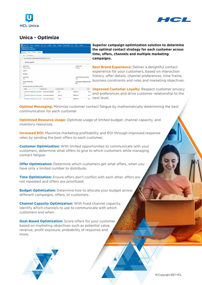



## **Unica - Optimize**

| Units ( has been to at the begin mail forms becoming the area more |                                                       |                      |                    |                                          |
|--------------------------------------------------------------------|-------------------------------------------------------|----------------------|--------------------|------------------------------------------|
| <b>Mistranound Lines</b><br>Unicare Insulation (*                  |                                                       |                      |                    |                                          |
| Rote: Coung. Andpot.<br><b>Zuneau</b> y                            |                                                       |                      |                    |                                          |
| Sat of Chinesen                                                    |                                                       |                      |                    |                                          |
| III List publicist am freihei successfulk abiColatität (625-3).    |                                                       |                      |                    |                                          |
| - Sension properties                                               |                                                       |                      |                    |                                          |
| liastica risms                                                     |                                                       |                      | <b>Industrials</b> |                                          |
| <b>IDisary Attribuies</b>                                          |                                                       |                      | Opalistas          |                                          |
| LESCHE                                                             |                                                       |                      |                    |                                          |
| Description                                                        |                                                       |                      |                    |                                          |
| <b>HARRY MUSEUM</b>                                                |                                                       |                      |                    | sport inhousing a year at him.           |
| <b>Bank</b>                                                        | www.com<br>bisi                                       |                      |                    |                                          |
| Ochillide pergians labbe                                           |                                                       |                      |                    | <b>Roof is right a related to longer</b> |
| light.                                                             |                                                       |                      | <b>Boxe</b>        |                                          |
| Cartologan appointed with this Delivated Automatic                 |                                                       |                      |                    |                                          |
| <b>Togeta</b>                                                      | <b>Telephone serve</b>                                | Therebe last insing. | $-144$             | Oylet                                    |
| $\frac{1}{2}$                                                      | JUIN MACAN CARRIC WITH JANUARING UNION SOCIA CARDIACT |                      | <b>COORDINATE</b>  | <b>FILM</b>                              |
| 2011 Bulley David Try Life Liquidity - Shiper Territo Censusy      |                                                       | <b>Bossim</b>        | CONTINUESS         | fel.m                                    |
| 1000 Martin of team New Life Lincoln (1) Weight Best of Annual and |                                                       | <b>CONTRACTOR</b>    | PANNING USE        | for an                                   |

**Superior campaign optimization solution to determine the optimal contact strategy for each customer across time, offers, channels and multiple marketing campaigns.**

**Best Brand Experience:** Deliver a delightful contact experience for your customers, based on interaction history, offer details, channel preferences, time frame, business constraints and rules and marketing objectives.

**Improved Customer Loyalty: Respect customer privacy** and preferences and drive customer relationship to the next level.

**Optimal Messaging:** Minimize customer contact fatigue by mathematically determining the best communication for each customer.

**Optimized Resource Usage:** Optimize usage of limited budget, channel capacity, and inventory resources.

**Increased ROI:** Maximize marketing profitability and ROI through improved response rates by sending the best offers to each customer.

**Customer Optimization:** With limited opportunities to communicate with your customers, determine what offers to give to which customers while managing contact fatigue.

**Offer Optimization:** Determine which customers get what offers, when you have only a limited number to distribute.

**Time Optimization:** Ensure offers don't conflict with each other, offers are not repeated and offers are prioritized.

**Budget Optimization:** Determine how to allocate your budget across different campaigns, offers, or customers.

**Channel Capacity Optimization:** With fixed channel capacity, identify which channels to use to communicate with which customers and when.

**Goal-Based Optimization:** Score offers for your customer based on marketing objectives such as potential value, revenue, profit exposure, probability of response and more.

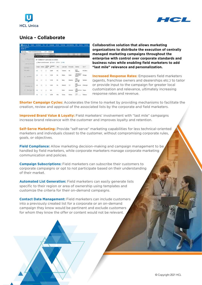



#### **Unica - Collaborate**

| AFRICA A MOVEMENT<br>test (6)         |                           |         |              |                                                       |             |               |                         |                                            |                |
|---------------------------------------|---------------------------|---------|--------------|-------------------------------------------------------|-------------|---------------|-------------------------|--------------------------------------------|----------------|
| Selenas                               |                           |         |              |                                                       |             |               |                         |                                            |                |
| $-2.6$                                | <b>WATERS OF ST</b>       |         |              |                                                       |             |               |                         |                                            |                |
|                                       | A Autobio   www.education |         |              |                                                       |             | 44344-12101   |                         |                                            |                |
| 1 STANDARD                            |                           |         |              | 50 "Validated" contact(s) to review                   |             |               |                         |                                            |                |
| - List teams wildly                   |                           |         |              | (Clientwood and records) 32 Except 123 Print 123 Help |             |               |                         |                                            |                |
| List Auto<br><b>HOLLYWIN</b>          |                           | Delive  | <b>NAMAD</b> | <b>Collected</b><br>Đ                                 | tiis        | Last Galler   | <b>First carried</b>    | Acidrosa                                   | <b>GWT</b>     |
| <b>BAN RAUS</b>                       |                           | ō       | ۵            | 1,235                                                 | tos.        | Architecto    | 86                      | <b>ALC 6</b><br><b>FRUNKIN</b>             | <b>PLOASIA</b> |
| <b>CONTRACTOR</b><br>٠<br>Lot because |                           | ö       | o            | 1,739                                                 | ь           |               | Dealer                  | 1920 Book of<br><b>Arwies Dr</b><br>4.4975 | Glycogn        |
|                                       |                           | $\circ$ | ×            | 629                                                   | tú.         |               | Nation<br>Airlevian.ru  | 1061<br><b>Brail 140</b>                   | - Tipulatana   |
| Provident for                         |                           |         | o            | 1:554                                                 | that        | <b>BANKIN</b> | Tyle<br>w               | 2591<br>Checks Inc.<br>ALM.                | Printin'(R)    |
| <b>SCIENTING</b>                      |                           |         | ö            |                                                       |             | <b>FR-Rev</b> | <b><i>Distances</i></b> | 1,483<br><b>Meaning Clinic</b><br>1962     | / Warra        |
|                                       |                           | c.      | ÷            | 4,278                                                 | <b>Disk</b> | Clocks        | <b>Bales</b>            | 1P6F<br><b>Sentia</b>                      | <b>Biglian</b> |

**Collaborative solution that allows marketing organizations to distribute the execution of centrally managed marketing campaigns throughout the enterprise with control over corporate standards and business rules while enabling field marketers to add "last mile" relevance and personalization.**

**Increased Response Rates:** Empowers field marketers (agents, franchise owners and dealerships etc.) to tailor or provide input to the campaign for greater local customization and relevance, ultimately increasing response rates and revenue.

**Shorter Campaign Cycles:** Accelerates the time to market by providing mechanisms to facilitate the creation, review and approval of the associated lists by the corporate and field marketers.

**Improved Brand Value & Loyalty:** Field marketers' involvement with "last mile" campaigns increase brand relevance with the customer and improves loyalty and retention.

**Self-Serve Marketing:** Provide "self-serve" marketing capabilities for less technical-oriented marketers and individuals closest to the customer, without compromising corporate rules, goals, or objectives.

**Field Compliance:** Allow marketing decision-making and campaign management to be handled by field marketers, while corporate marketers manage corporate marketing communication and policies.

**Campaign Subscriptions:** Field marketers can subscribe their customers to corporate campaigns or opt to not participate based on their understanding of their market.

**Automated List Generation:** Field marketers can easily generate lists specific to their region or area of ownership using templates and customize the criteria for their on-demand campaigns.

**Contact Data Management:** Field marketers can include customers into a previously created list for a corporate or an on-demand campaign they know would be pertinent and exclude customers for whom they know the offer or content would not be relevant.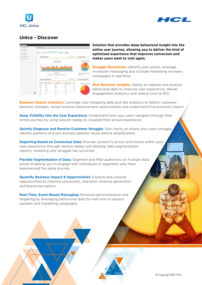



#### **Unica - Discover**



**Solution that provides deep behavioral insight into the online user journey, allowing you to deliver the kind of optimized experience that improves conversion and makes users want to visit again.**

**Struggle Resolution:** Identify pain points, leverage in-session messaging and activate marketing recovery campaigns in real-time.

**Rich Behavior Insights:** Ability to capture and analyze behavioral data to improve user experience, deliver engagement analytics and reduce time to ROI.

**Business Impact Analytics:** Leverage user shopping data and site analytics to detect customer behavior changes, reveal revenue enhancement opportunities and understand true business impact.

**Deep Visibility Into the User Experience:** Understand how your users navigate through their online journey by using session replay to visualize their actual experience.

**Quickly Diagnose and Resolve Customer Struggle:** Gain clarity on where your users struggle, identify patterns and pro-actively address issues before amplification.

**Reporting Based on Contextual Data:** Provide context to errors and events within your user experience through session replay and develop data segmentation reports, revealing why struggle has occurred.

**Flexible Segmentation of Data:** Segment and filter audiences on multiple data points enabling you to engage with individuals or segments who have experienced the same journey.

**Quantify Business Impact & Opportunities:** Explore and uncover opportunities to improve conversion, retention, revenue generation and brand perception.

**Real-Time, Event-Based Messaging:** Enhance personalization and targeting by leveraging behavioral data for real time in-session updates and marketing campaigns.

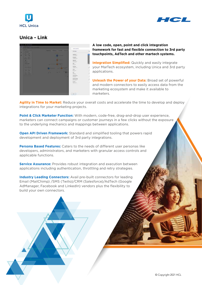



#### **Unica - Link**



**A low code, open, point and click integration framework for fast and flexible connection to 3rd party touchpoints, AdTech and other martech systems.**

**Integration Simplified:** Quickly and easily integrate your MarTech ecosystem, including Unica and 3rd party applications.

**Unleash the Power of your Data: Broad set of powerful** and modern connectors to easily access data from the marketing ecosystem and make it available to marketers.

**Agility in Time to Market:** Reduce your overall costs and accelerate the time to develop and deploy integrations for your marketing projects.

**Point & Click Marketer Function:** With modern, code-free, drag-and-drop user experience, marketers can connect campaigns or customer journeys in a few clicks without the exposure to the underlying mechanics and mappings between applications.

**Open API Driven Framework:** Standard and simplified tooling that powers rapid development and deployment of 3rd party integrations.

**Persona Based Features:** Caters to the needs of different user personas like developers, administrators, and marketers with granular access controls and applicable functions.

**Service Assurance:** Provides robust integration and execution between applications including authentication, throttling and retry strategies.

**Industry Leading Connectors:** Avail pre-built connectors for leading Email (MailChimp) /SMS (Twilio)/CRM (Salesforce)/AdTech (Google AdManager, Facebook and LinkedIn) vendors plus the flexibility to build your own connectors.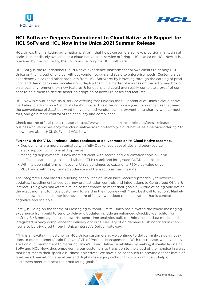



#### **HCL Software Deepens Commitment to Cloud Native with Support for HCL SoFy and HCL Now in the Unica 2021 Summer Release**

HCL Unica, the marketing automation platform that helps customers achieve precision marketing at scale, is immediately available as a cloud native-as-a-service offering - HCL Unica on HCL Now. It is powered by the HCL SoFy, the Solutions Factory for HCL Software.

HCL SoFy is the foundational Cloud Native experience platform that allows clients to deploy HCL Unica on their cloud of choice, without vendor lock-in, and scale to enterprise needs. Customers can experience Unica (and other products from HCL Software) by browsing through the catalog of products, and demo packs and accelerators, deploy them in a matter of minutes on the SoFy sandbox or on a local environment, try new features & functions and could even easily complete a proof of concept to help them to decide faster on adoption of newer releases and features.

HCL Now is cloud-native-as-a-service offering that unlocks the full potential of Unica's cloud native marketing platform on a Cloud of client's choice. This offering is designed for companies that need the convenience of SaaS but want to avoid cloud vendor lock-in, prevent data-sharing with competitors, and gain more control of their security and compliance.

Check out the official press release ( https://www.hcltech.com/press-releases/press-releases[business/hcl-launches-sofy-the-cloud-native-solution-factory-cloud-native-as-a-service-offering](https://www.hcltech.com/press-releases/press-releases-business/hcl-launches-sofy-the-cloud-native-solution-factory-cloud-native-as-a-service-offering) ) to know more about HCL SoFy and HCL Now.

#### **Further with the V 12.1.1 release, Unica continues to deliver more on its Cloud Native roadmap.**

- Deployments are more automated with fully Dockerized capabilities and open-source stack support with Tomcat App server.
- Managing deployments is now more efficient with search and visualization tools built on an Elasticsearch, Logstash and Kibana (ELK) stack and integrated CI/CD capabilities.
- With its open platform philosophy, Unica continues to expand its 750-plus value driven REST APIs with new, curated audience and transactional mailing APIs.

The Integrated Goal based Marketing capabilities of Unica have received practical yet powerful updates, including enhanced Journey orchestration controls and integrations to Centralized Offers & Interact. This gives marketers a much better chance to meet their goals by virtue of being able define the exact moment to move customers forward in their journey with "next best call to action". Marketers can now make customer journeys more effective with deep personalization that is contextual, cognitive and scalable.

Lastly, building on the theme of Messaging Without Limits, Unica has elevated the whole messaging experience from build to send to delivery. Updates include an enhanced QuickBuilder editor for crafting SMS messages faster, powerful send-time analytics built on Unica's open data model, and integrated privacy compliance for delivery opt outs. Delivery of on demand Push notifications can now also be triggered through Unica Interact's Deliver gateway.

"This is an exciting milestone for HCL Unica customers as we continue to deliver high-value innovations to our customers," said Raj Iyer, SVP of Product Management. "With this release, we have delivered on our commitment to maturing Unica's Cloud Native capabilities by making it available on HCL SoFy and HCL Now, thus empowering our customers to transition to the cloud of their choice in a way that best meets their specific business objectives. We have also continued to provide deeper levels of goal based marketing capabilities and digital messaging without limits to continue to help our customers meet and beat their marketing goals."

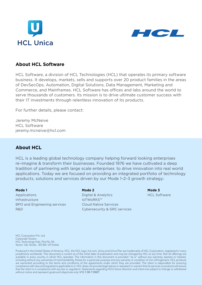



#### **About HCL Software**

HCL Software, a division of HCL Technologies (HCL) that operates its primary software business. It develops, markets, sells and supports over 20 product families in the areas of DevSecOps, Automation, Digital Solutions, Data Management, Marketing and Commerce, and Mainframes. HCL Software has offices and labs around the world to serve thousands of customers. Its mission is to drive ultimate customer success with their IT investments through relentless innovation of its products.

For further details, please contact:

Jeremy McNeive HCL Software jeremy.mcneive@hcl.com

#### **About HCL**

HCL is a leading global technology company helping forward looking enterprises re–imagine & transform their businesses. Founded 1976 we have cultivated a deep tradition of partnering with large scale enterprises to drive innovation into real world applications. Today we are focused on providing an integrated portfolio of technology products, solutions and services driven by our Mode 1–2–3 growth strategy:

#### **Mode 1**

Applications Infrastructure BPO and Engineering services R&D

#### **Mode 2**

Digital & Analytics IoTWoRKS™ Cloud Native Services Cybersecurity & GRC services **Mode 3** HCL Software

HCL Corporation Pvt. Ltd. Corporate Towers, HCL Technology Hub, Plot No 3A, Sector 126, Noida - 201303. UP (India)

Produced in the United States of America. HCL, the HCL logo, hcl.com. Unica and Unica Plan are trademarks of HCL Corporation, registered in many jurisdictions worldwide. This document is current as of the initial date of publication and may be changed by HCL at any time. Not all offerings are available in every country in which HCL operates. The information in this document is provided "as is" without any warranty, express or implied, including without any warranties of merchantability, fitness for a particular purpose and any warranty or condition of non-infringement. HCL products are warranted according to the terms and conditions of the agreements under which they are provided. The client is responsible for ensuring compliance with laws and regulations applicable to it. HCL does not provide legal advice or represent or warrant that its services or products will ensure that the client is in compliance with any law or regulation. Statements regarding HCL's future direction and intent are subject to change or withdrawal without notice and represent goals and objectives only. V12.1-SR-110821